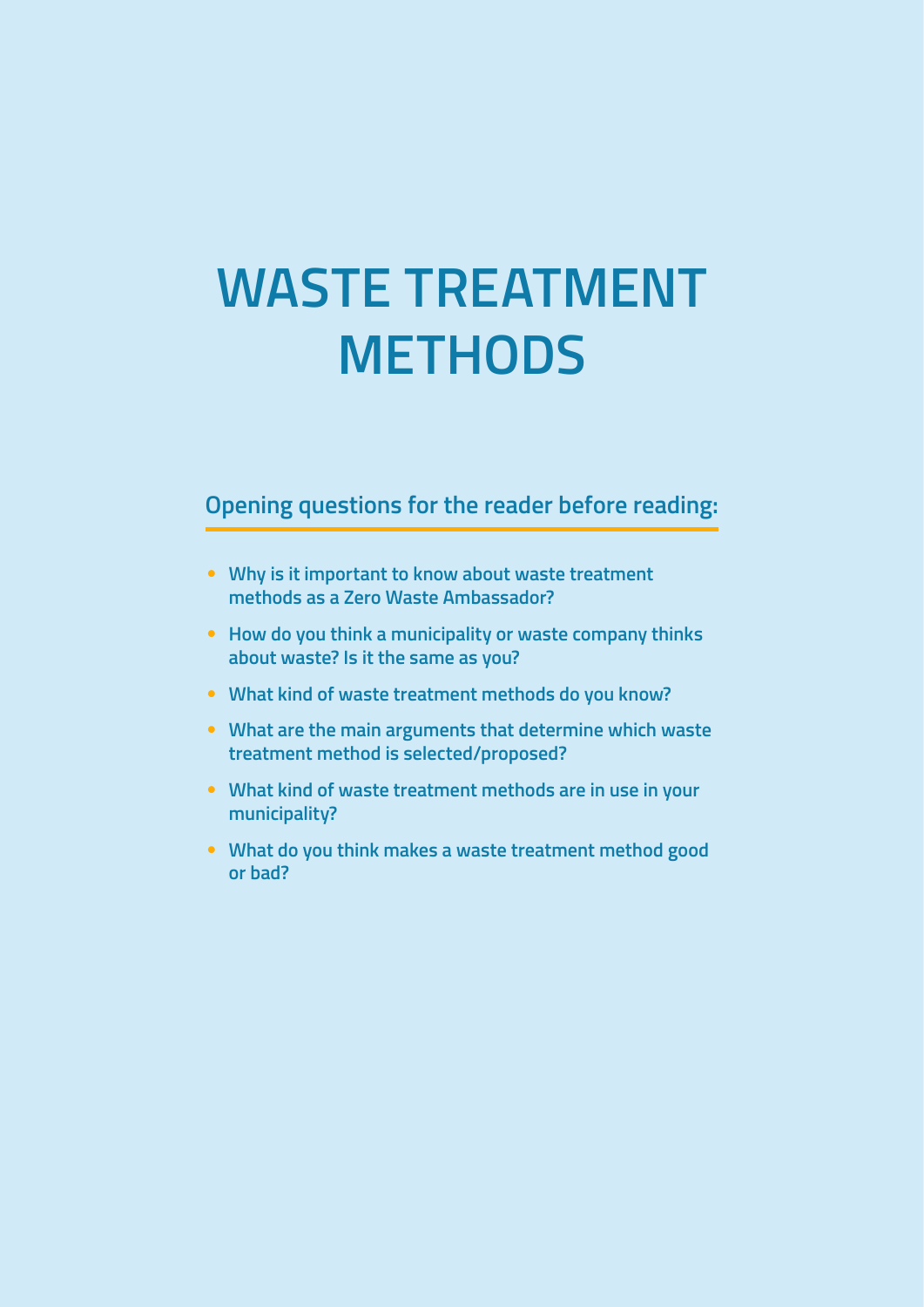# **WASTE TREATMENT METHODS**

### **Opening questions for the reader before reading:**

- **Why is it important to know about waste treatment methods as a Zero Waste Ambassador?**
- **How do you think a municipality or waste company thinks about waste? Is it the same as you?**
- **What kind of waste treatment methods do you know?**
- **What are the main arguments that determine which waste treatment method is selected/proposed?**
- **What kind of waste treatment methods are in use in your municipality?**
- **What do you think makes a waste treatment method good or bad?**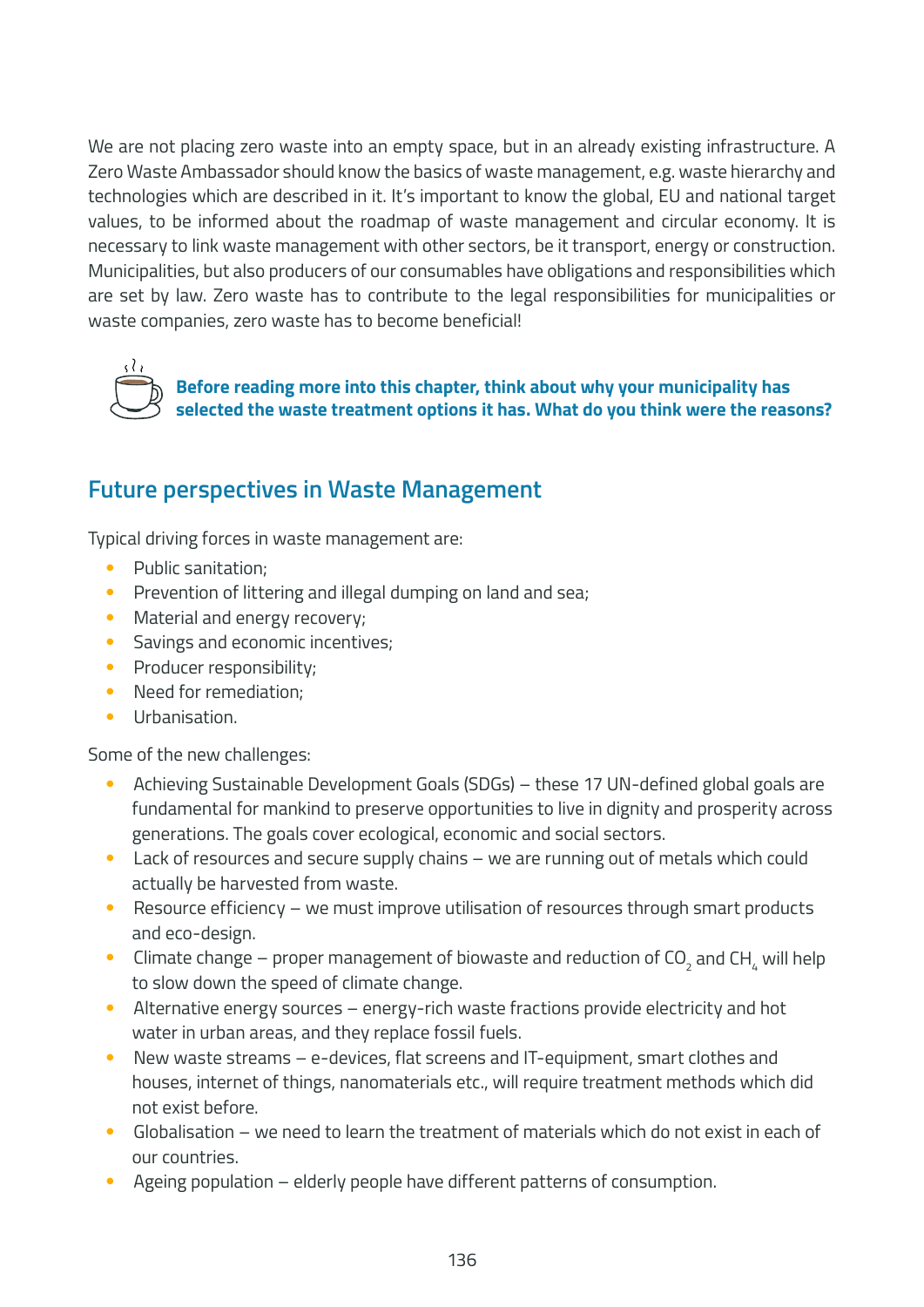We are not placing zero waste into an empty space, but in an already existing infrastructure. A Zero Waste Ambassador should know the basics of waste management, e.g. waste hierarchy and technologies which are described in it. It's important to know the global, EU and national target values, to be informed about the roadmap of waste management and circular economy. It is necessary to link waste management with other sectors, be it transport, energy or construction. Municipalities, but also producers of our consumables have obligations and responsibilities which are set by law. Zero waste has to contribute to the legal responsibilities for municipalities or waste companies, zero waste has to become beneficial!



**Before reading more into this chapter, think about why your municipality has selected the waste treatment options it has. What do you think were the reasons?**

### **Future perspectives in Waste Management**

Typical driving forces in waste management are:

- Public sanitation;
- Prevention of littering and illegal dumping on land and sea;
- Material and energy recovery;
- Savings and economic incentives;
- Producer responsibility;
- Need for remediation:
- Urbanisation.

Some of the new challenges:

- Achieving Sustainable Development Goals (SDGs) these 17 UN-defined global goals are fundamental for mankind to preserve opportunities to live in dignity and prosperity across generations. The goals cover ecological, economic and social sectors.
- Lack of resources and secure supply chains we are running out of metals which could actually be harvested from waste.
- Resource efficiency we must improve utilisation of resources through smart products and eco-design.
- $\bullet$  Climate change proper management of biowaste and reduction of CO<sub>2</sub> and CH<sub>4</sub> will help to slow down the speed of climate change.
- Alternative energy sources energy-rich waste fractions provide electricity and hot water in urban areas, and they replace fossil fuels.
- New waste streams e-devices, flat screens and IT-equipment, smart clothes and houses, internet of things, nanomaterials etc., will require treatment methods which did not exist before.
- $\bullet$  Globalisation we need to learn the treatment of materials which do not exist in each of our countries.
- Ageing population elderly people have different patterns of consumption.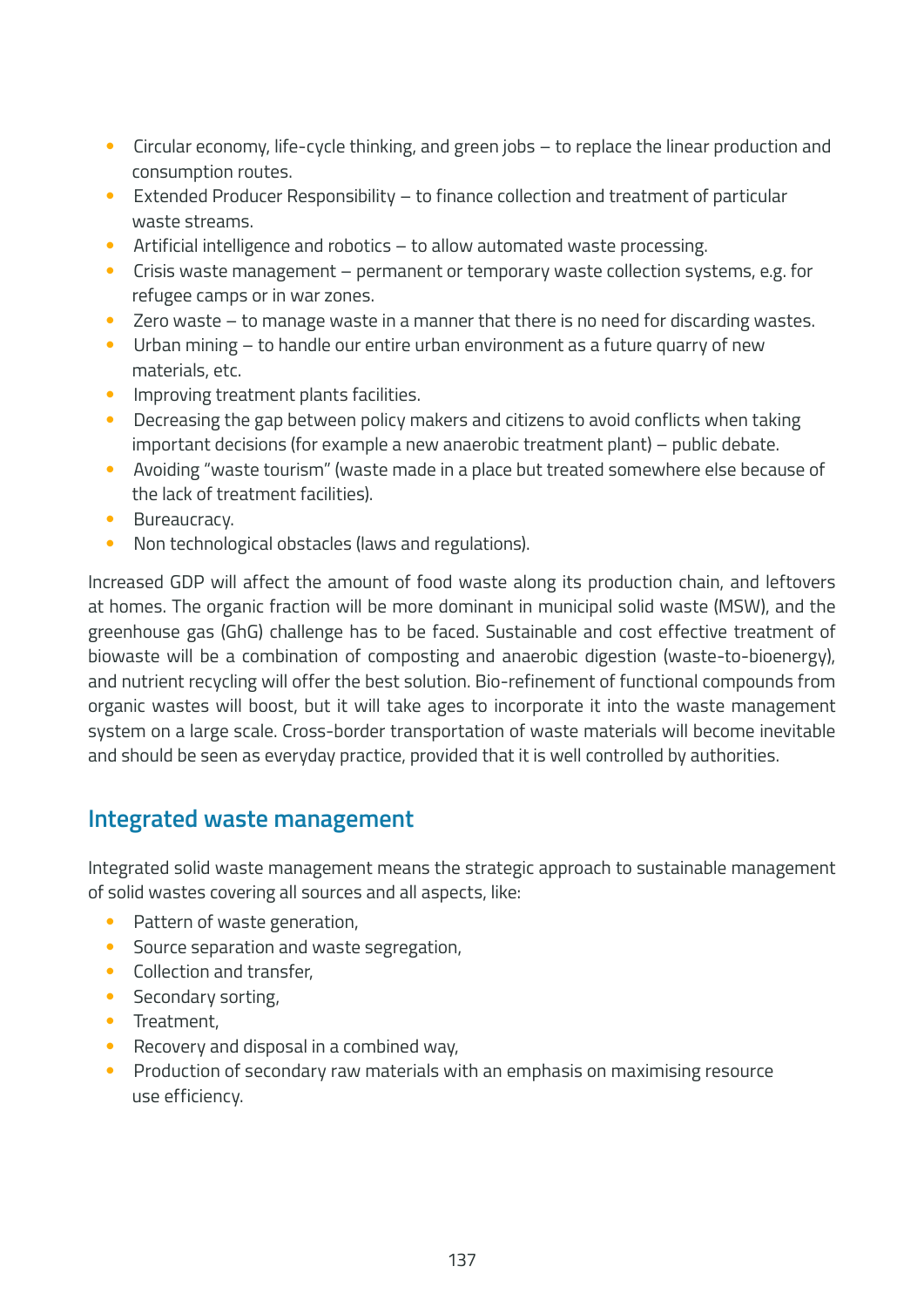- Circular economy, life-cycle thinking, and green jobs to replace the linear production and consumption routes.
- Extended Producer Responsibility to finance collection and treatment of particular waste streams.
- Artificial intelligence and robotics to allow automated waste processing.
- Crisis waste management permanent or temporary waste collection systems, e.g. for refugee camps or in war zones.
- Zero waste to manage waste in a manner that there is no need for discarding wastes.
- Urban mining to handle our entire urban environment as a future quarry of new materials, etc.
- Improving treatment plants facilities.
- Decreasing the gap between policy makers and citizens to avoid conflicts when taking important decisions (for example a new anaerobic treatment plant) – public debate.
- Avoiding "waste tourism" (waste made in a place but treated somewhere else because of the lack of treatment facilities).
- Bureaucracy.
- Non technological obstacles (laws and regulations).

Increased GDP will affect the amount of food waste along its production chain, and leftovers at homes. The organic fraction will be more dominant in municipal solid waste (MSW), and the greenhouse gas (GhG) challenge has to be faced. Sustainable and cost effective treatment of biowaste will be a combination of composting and anaerobic digestion (waste-to-bioenergy), and nutrient recycling will offer the best solution. Bio-refinement of functional compounds from organic wastes will boost, but it will take ages to incorporate it into the waste management system on a large scale. Cross-border transportation of waste materials will become inevitable and should be seen as everyday practice, provided that it is well controlled by authorities.

### **Integrated waste management**

Integrated solid waste management means the strategic approach to sustainable management of solid wastes covering all sources and all aspects, like:

- Pattern of waste generation,
- Source separation and waste segregation,
- Collection and transfer.
- Secondary sorting,
- Treatment,
- Recovery and disposal in a combined way,
- Production of secondary raw materials with an emphasis on maximising resource use efficiency.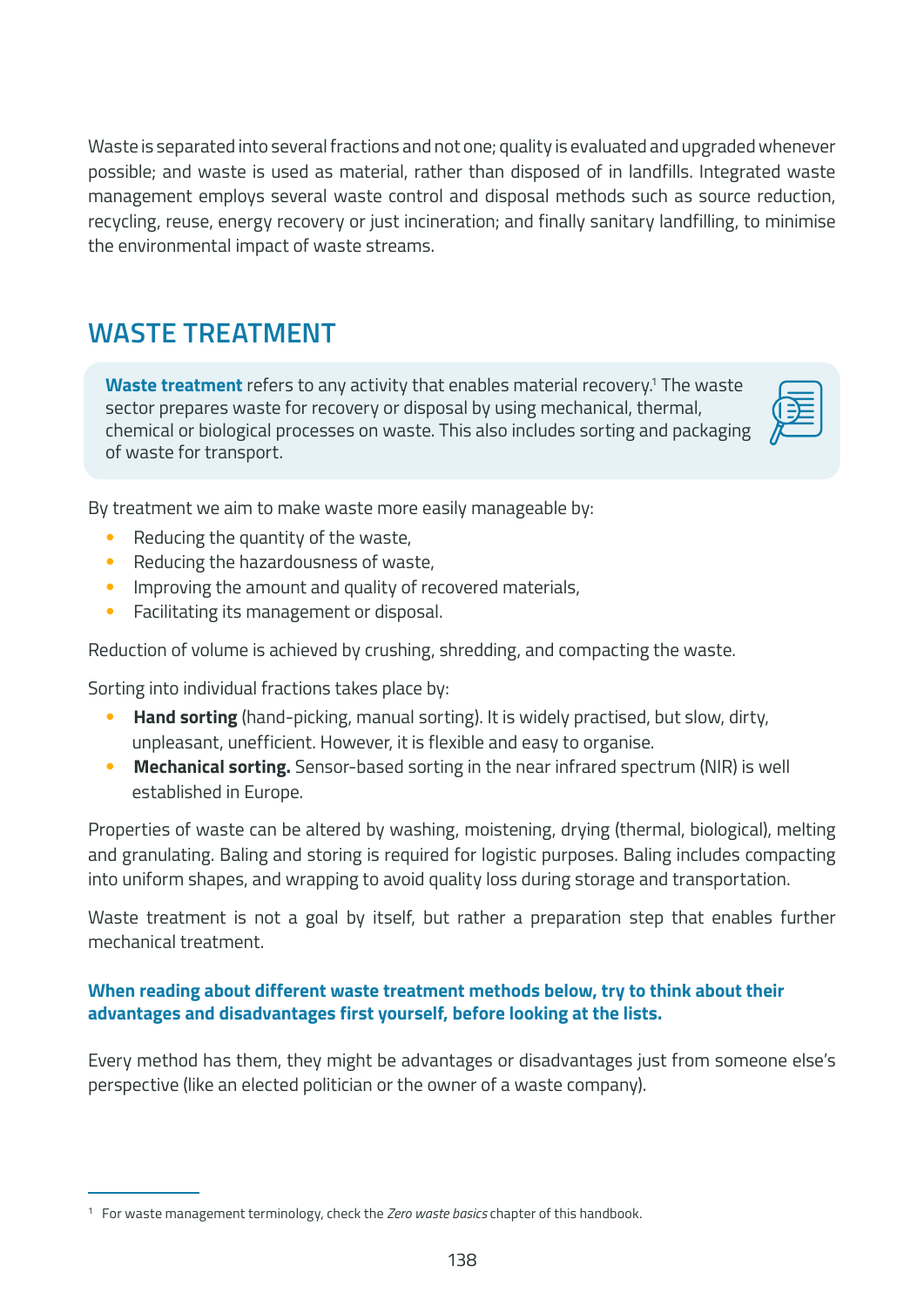Waste is separated into several fractions and not one; quality is evaluated and upgraded whenever possible; and waste is used as material, rather than disposed of in landfills. Integrated waste management employs several waste control and disposal methods such as source reduction, recycling, reuse, energy recovery or just incineration; and finally sanitary landfilling, to minimise the environmental impact of waste streams.

### **WASTE TREATMENT**

**Waste treatment** refers to any activity that enables material recovery.<sup>1</sup> The waste sector prepares waste for recovery or disposal by using mechanical, thermal, chemical or biological processes on waste. This also includes sorting and packaging of waste for transport.



By treatment we aim to make waste more easily manageable by:

- Reducing the quantity of the waste,
- Reducing the hazardousness of waste,
- Improving the amount and quality of recovered materials,
- Facilitating its management or disposal.

Reduction of volume is achieved by crushing, shredding, and compacting the waste.

Sorting into individual fractions takes place by:

- **Hand sorting** (hand-picking, manual sorting). It is widely practised, but slow, dirty, unpleasant, unefficient. However, it is flexible and easy to organise.
- **Mechanical sorting.** Sensor-based sorting in the near infrared spectrum (NIR) is well established in Europe.

Properties of waste can be altered by washing, moistening, drying (thermal, biological), melting and granulating. Baling and storing is required for logistic purposes. Baling includes compacting into uniform shapes, and wrapping to avoid quality loss during storage and transportation.

Waste treatment is not a goal by itself, but rather a preparation step that enables further mechanical treatment.

#### **When reading about different waste treatment methods below, try to think about their advantages and disadvantages first yourself, before looking at the lists.**

Every method has them, they might be advantages or disadvantages just from someone else's perspective (like an elected politician or the owner of a waste company).

<sup>1</sup> For waste management terminology, check the *Zero waste basics* chapter of this handbook.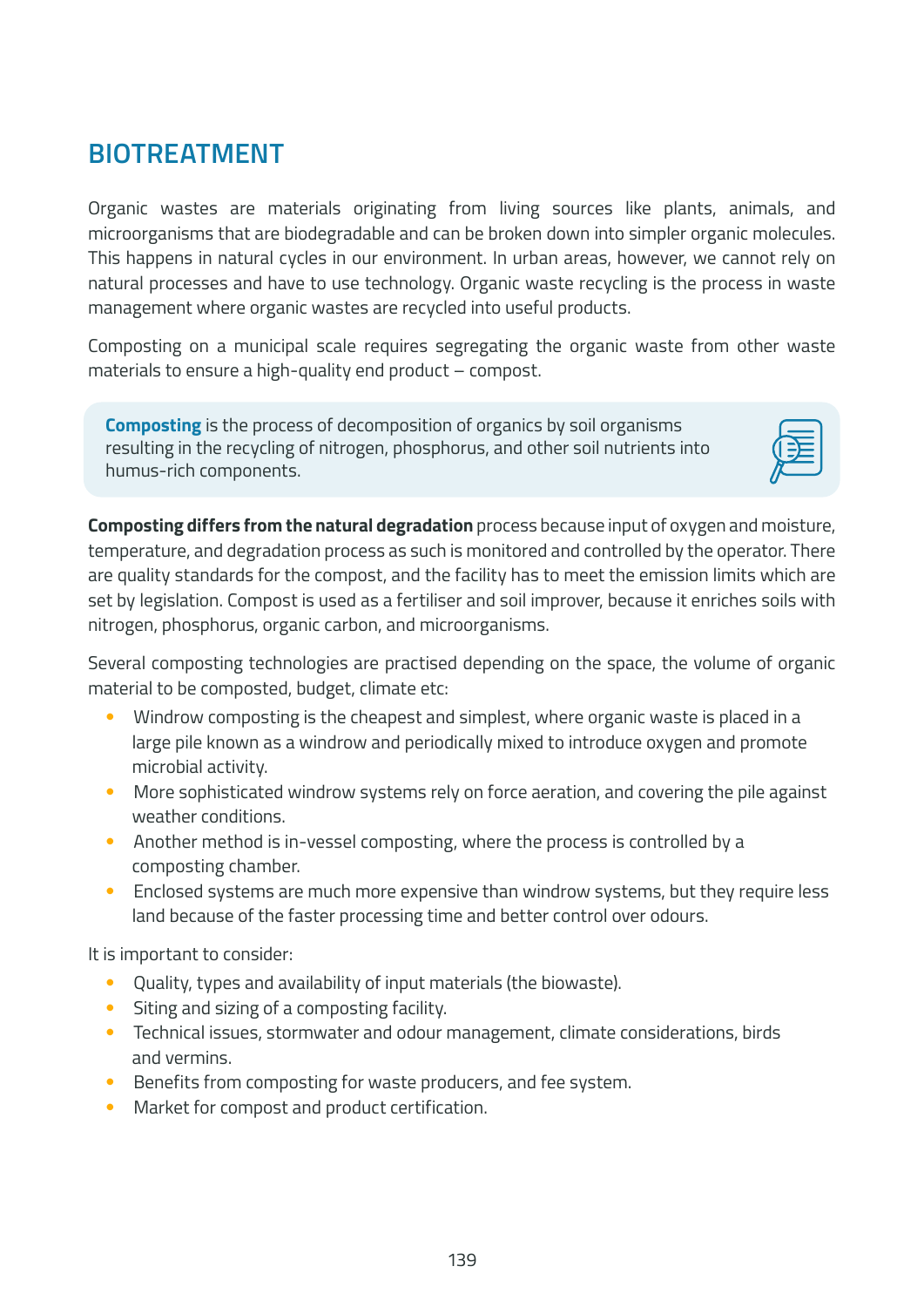### **BIOTREATMENT**

Organic wastes are materials originating from living sources like plants, animals, and microorganisms that are biodegradable and can be broken down into simpler organic molecules. This happens in natural cycles in our environment. In urban areas, however, we cannot rely on natural processes and have to use technology. Organic waste recycling is the process in waste management where organic wastes are recycled into useful products.

Composting on a municipal scale requires segregating the organic waste from other waste materials to ensure a high-quality end product – compost.

**Composting** is the process of decomposition of organics by soil organisms resulting in the recycling of nitrogen, phosphorus, and other soil nutrients into humus-rich components.



**Composting differs from the natural degradation** process because input of oxygen and moisture, temperature, and degradation process as such is monitored and controlled by the operator. There are quality standards for the compost, and the facility has to meet the emission limits which are set by legislation. Compost is used as a fertiliser and soil improver, because it enriches soils with nitrogen, phosphorus, organic carbon, and microorganisms.

Several composting technologies are practised depending on the space, the volume of organic material to be composted, budget, climate etc:

- Windrow composting is the cheapest and simplest, where organic waste is placed in a large pile known as a windrow and periodically mixed to introduce oxygen and promote microbial activity.
- More sophisticated windrow systems rely on force aeration, and covering the pile against weather conditions.
- Another method is in-vessel composting, where the process is controlled by a composting chamber.
- Enclosed systems are much more expensive than windrow systems, but they require less land because of the faster processing time and better control over odours.

It is important to consider:

- Quality, types and availability of input materials (the biowaste).
- Siting and sizing of a composting facility.
- Technical issues, stormwater and odour management, climate considerations, birds and vermins.
- Benefits from composting for waste producers, and fee system.
- Market for compost and product certification.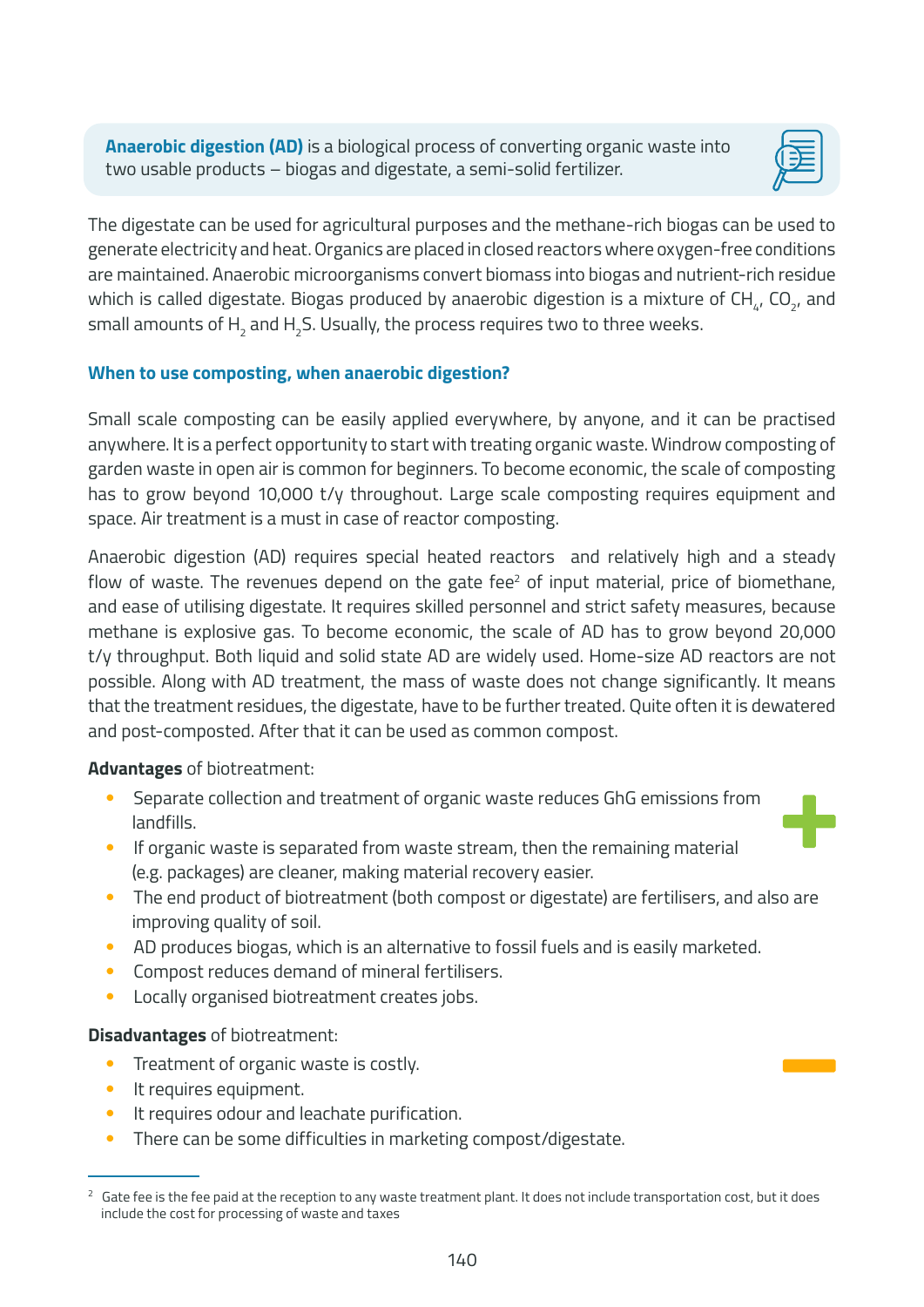**Anaerobic digestion (AD)** is a biological process of converting organic waste into two usable products – biogas and digestate, a semi-solid fertilizer.



The digestate can be used for agricultural purposes and the methane-rich biogas can be used to generate electricity and heat. Organics are placed in closed reactors where oxygen-free conditions are maintained. Anaerobic microorganisms convert biomass into biogas and nutrient-rich residue which is called digestate. Biogas produced by anaerobic digestion is a mixture of  $CH<sub>4</sub>$ , CO<sub>2</sub>, and small amounts of  $\mathsf{H}_{\mathfrak{z}}$  and  $\mathsf{H}_{\mathfrak{z}}$ S. Usually, the process requires two to three weeks.

#### **When to use composting, when anaerobic digestion?**

Small scale composting can be easily applied everywhere, by anyone, and it can be practised anywhere. It is a perfect opportunity to start with treating organic waste. Windrow composting of garden waste in open air is common for beginners. To become economic, the scale of composting has to grow beyond 10,000 t/y throughout. Large scale composting requires equipment and space. Air treatment is a must in case of reactor composting.

Anaerobic digestion (AD) requires special heated reactors and relatively high and a steady flow of waste. The revenues depend on the gate fee $2$  of input material, price of biomethane, and ease of utilising digestate. It requires skilled personnel and strict safety measures, because methane is explosive gas. To become economic, the scale of AD has to grow beyond 20,000 t/y throughput. Both liquid and solid state AD are widely used. Home-size AD reactors are not possible. Along with AD treatment, the mass of waste does not change significantly. It means that the treatment residues, the digestate, have to be further treated. Quite often it is dewatered and post-composted. After that it can be used as common compost.

#### **Advantages** of biotreatment:

- Separate collection and treatment of organic waste reduces GhG emissions from landfills.
- 
- If organic waste is separated from waste stream, then the remaining material (e.g. packages) are cleaner, making material recovery easier.
- The end product of biotreatment (both compost or digestate) are fertilisers, and also are improving quality of soil.
- AD produces biogas, which is an alternative to fossil fuels and is easily marketed.
- Compost reduces demand of mineral fertilisers.
- Locally organised biotreatment creates jobs.

#### **Disadvantages** of biotreatment:

- Treatment of organic waste is costly.
- It requires equipment.
- It requires odour and leachate purification.
- There can be some difficulties in marketing compost/digestate.

<sup>&</sup>lt;sup>2</sup> Gate fee is the fee paid at the reception to any waste treatment plant. It does not include transportation cost, but it does include the cost for processing of waste and taxes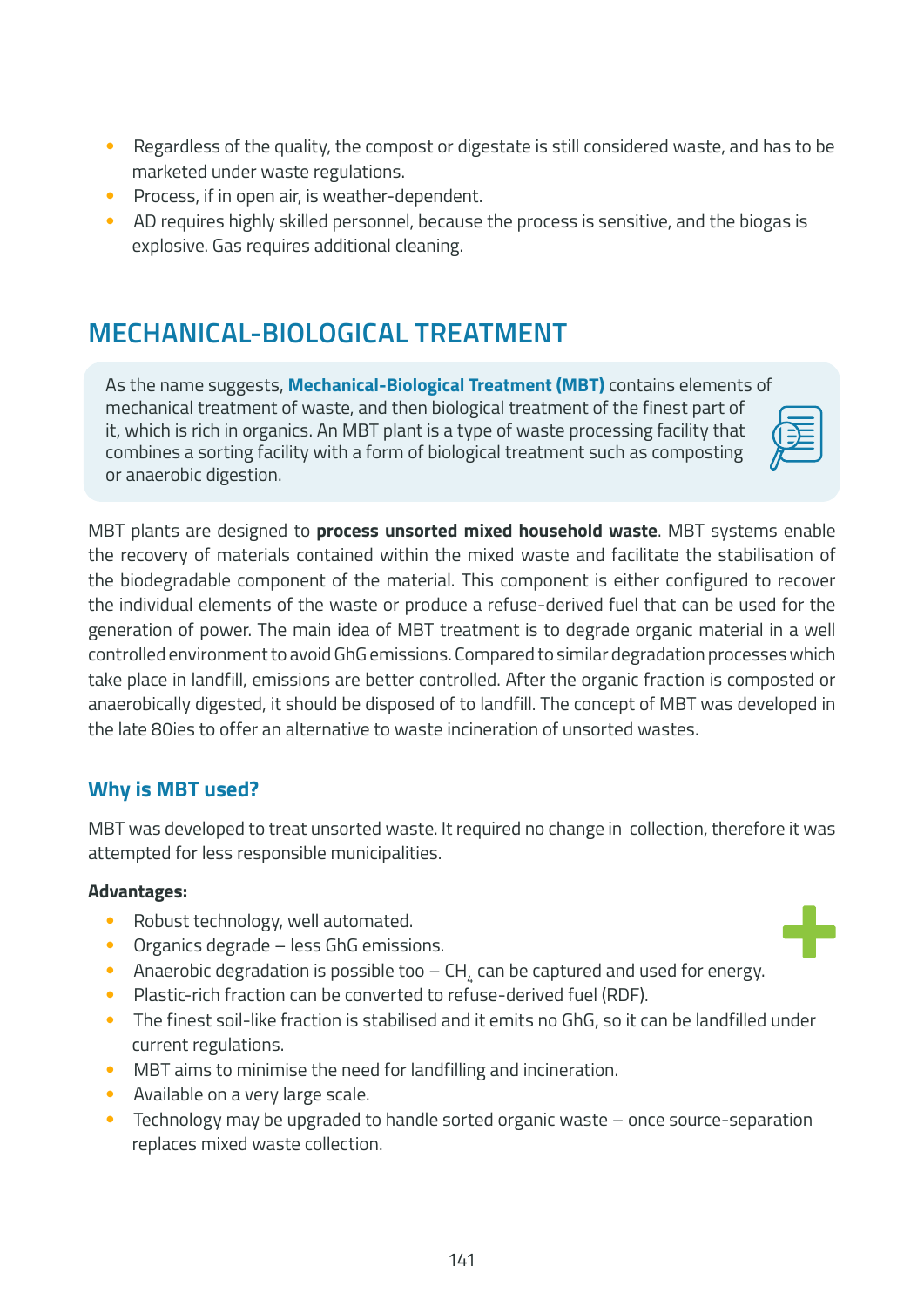- Regardless of the quality, the compost or digestate is still considered waste, and has to be marketed under waste regulations.
- Process, if in open air, is weather-dependent.
- AD requires highly skilled personnel, because the process is sensitive, and the biogas is explosive. Gas requires additional cleaning.

### **MECHANICAL-BIOLOGICAL TREATMENT**

As the name suggests, **Mechanical-Biological Treatment (MBT)** contains elements of mechanical treatment of waste, and then biological treatment of the finest part of it, which is rich in organics. An MBT plant is a type of waste processing facility that combines a sorting facility with a form of biological treatment such as composting or anaerobic digestion.

MBT plants are designed to **process unsorted mixed household waste**. MBT systems enable the recovery of materials contained within the mixed waste and facilitate the stabilisation of the biodegradable component of the material. This component is either configured to recover the individual elements of the waste or produce a refuse-derived fuel that can be used for the generation of power. The main idea of MBT treatment is to degrade organic material in a well controlled environment to avoid GhG emissions. Compared to similar degradation processes which take place in landfill, emissions are better controlled. After the organic fraction is composted or anaerobically digested, it should be disposed of to landfill. The concept of MBT was developed in the late 80ies to offer an alternative to waste incineration of unsorted wastes.

### **Why is MBT used?**

MBT was developed to treat unsorted waste. It required no change in collection, therefore it was attempted for less responsible municipalities.

#### **Advantages:**

- Robust technology, well automated.
- Organics degrade less GhG emissions.
- Anaerobic degradation is possible too CH $_{\textrm{\tiny{A}}}$  can be captured and used for energy.
- Plastic-rich fraction can be converted to refuse-derived fuel (RDF).
- The finest soil-like fraction is stabilised and it emits no GhG, so it can be landfilled under current regulations.
- MBT aims to minimise the need for landfilling and incineration.
- Available on a very large scale.
- Technology may be upgraded to handle sorted organic waste once source-separation replaces mixed waste collection.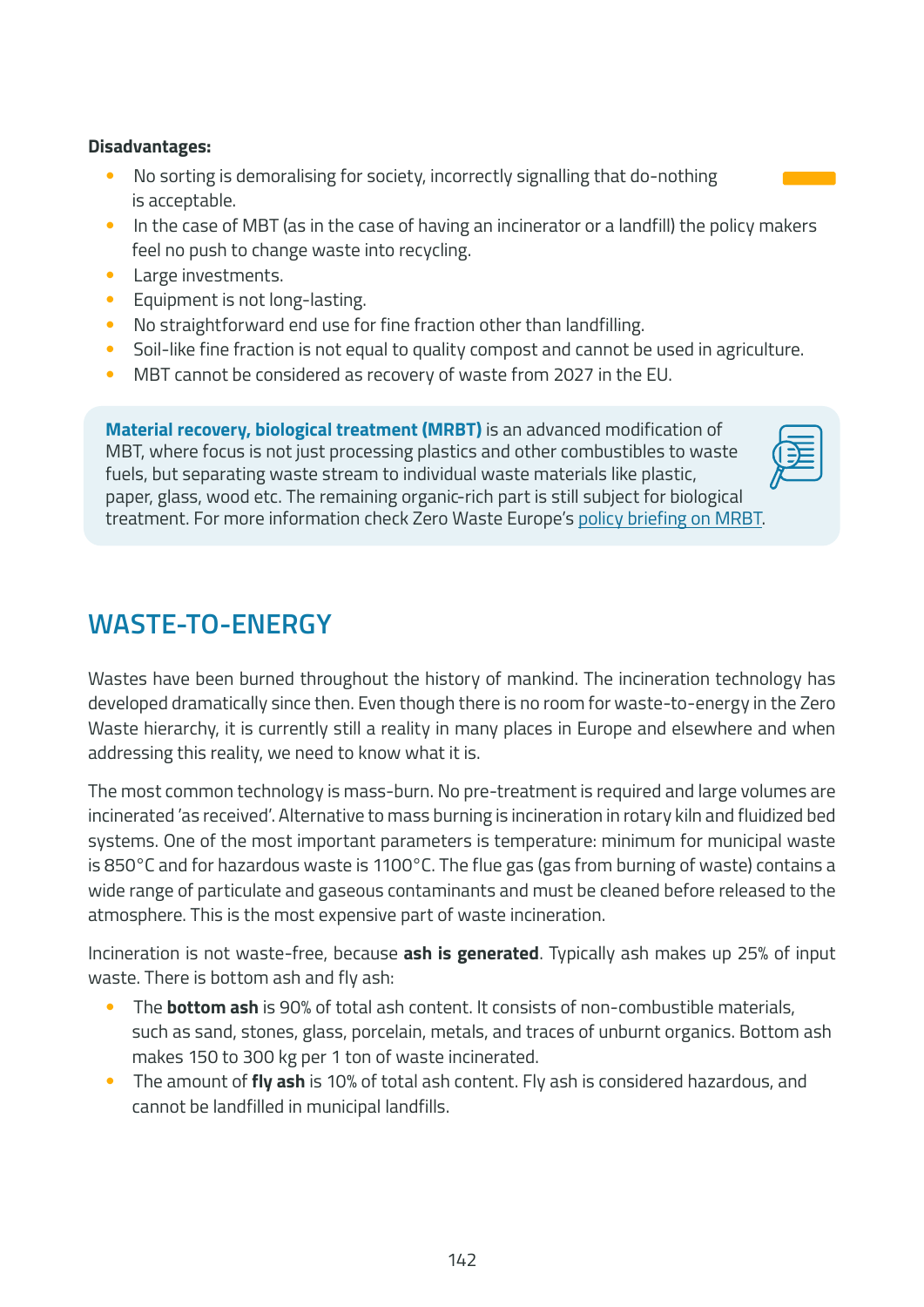#### **Disadvantages:**

- No sorting is demoralising for society, incorrectly signalling that do-nothing is acceptable.
- In the case of MBT (as in the case of having an incinerator or a landfill) the policy makers feel no push to change waste into recycling.
- Large investments.
- Equipment is not long-lasting.
- No straightforward end use for fine fraction other than landfilling.
- Soil-like fine fraction is not equal to quality compost and cannot be used in agriculture.
- MBT cannot be considered as recovery of waste from 2027 in the EU.

**Material recovery, biological treatment (MRBT)** is an advanced modification of MBT, where focus is not just processing plastics and other combustibles to waste fuels, but separating waste stream to individual waste materials like plastic, paper, glass, wood etc. The remaining organic-rich part is still subject for biological treatment. For more information check Zero Waste Europe's [policy briefing on MRBT.](https://zerowasteeurope.eu/wp-content/uploads/2020/06/zero_waste_europe_policy_briefing_MRBT_en.pdf)

### **WASTE-TO-ENERGY**

Wastes have been burned throughout the history of mankind. The incineration technology has developed dramatically since then. Even though there is no room for waste-to-energy in the Zero Waste hierarchy, it is currently still a reality in many places in Europe and elsewhere and when addressing this reality, we need to know what it is.

The most common technology is mass-burn. No pre-treatment is required and large volumes are incinerated 'as received'. Alternative to mass burning is incineration in rotary kiln and fluidized bed systems. One of the most important parameters is temperature: minimum for municipal waste is 850°C and for hazardous waste is 1100°C. The flue gas (gas from burning of waste) contains a wide range of particulate and gaseous contaminants and must be cleaned before released to the atmosphere. This is the most expensive part of waste incineration.

Incineration is not waste-free, because **ash is generated**. Typically ash makes up 25% of input waste. There is bottom ash and fly ash:

- The **bottom ash** is 90% of total ash content. It consists of non-combustible materials, such as sand, stones, glass, porcelain, metals, and traces of unburnt organics. Bottom ash makes 150 to 300 kg per 1 ton of waste incinerated.
- The amount of **fly ash** is 10% of total ash content. Fly ash is considered hazardous, and cannot be landfilled in municipal landfills.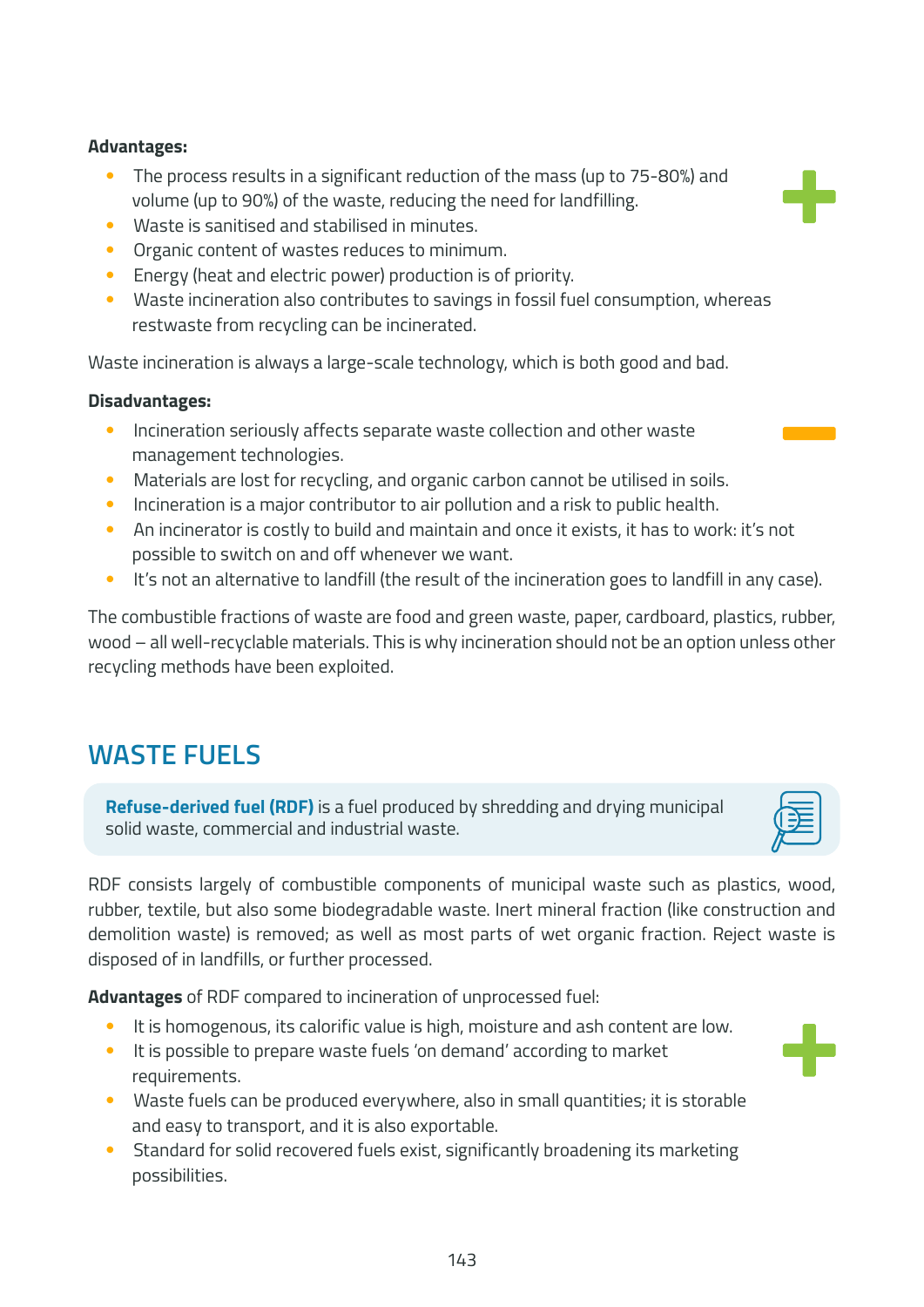- The process results in a significant reduction of the mass (up to 75-80%) and volume (up to 90%) of the waste, reducing the need for landfilling.
- Waste is sanitised and stabilised in minutes.
- Organic content of wastes reduces to minimum.
- Energy (heat and electric power) production is of priority.
- Waste incineration also contributes to savings in fossil fuel consumption, whereas restwaste from recycling can be incinerated.

Waste incineration is always a large-scale technology, which is both good and bad.

#### **Disadvantages:**

- Incineration seriously affects separate waste collection and other waste management technologies.
- Materials are lost for recycling, and organic carbon cannot be utilised in soils.
- Incineration is a major contributor to air pollution and a risk to public health.
- An incinerator is costly to build and maintain and once it exists, it has to work: it's not possible to switch on and off whenever we want.
- It's not an alternative to landfill (the result of the incineration goes to landfill in any case).

The combustible fractions of waste are food and green waste, paper, cardboard, plastics, rubber, wood – all well-recyclable materials. This is why incineration should not be an option unless other recycling methods have been exploited.

### **WASTE FUELS**

**Refuse-derived fuel (RDF)** is a fuel produced by shredding and drying municipal solid waste, commercial and industrial waste.

RDF consists largely of combustible components of municipal waste such as plastics, wood, rubber, textile, but also some biodegradable waste. Inert mineral fraction (like construction and demolition waste) is removed; as well as most parts of wet organic fraction. Reject waste is disposed of in landfills, or further processed.

**Advantages** of RDF compared to incineration of unprocessed fuel:

- It is homogenous, its calorific value is high, moisture and ash content are low.
- It is possible to prepare waste fuels 'on demand' according to market requirements.
- Waste fuels can be produced everywhere, also in small quantities; it is storable and easy to transport, and it is also exportable.
- Standard for solid recovered fuels exist, significantly broadening its marketing possibilities.







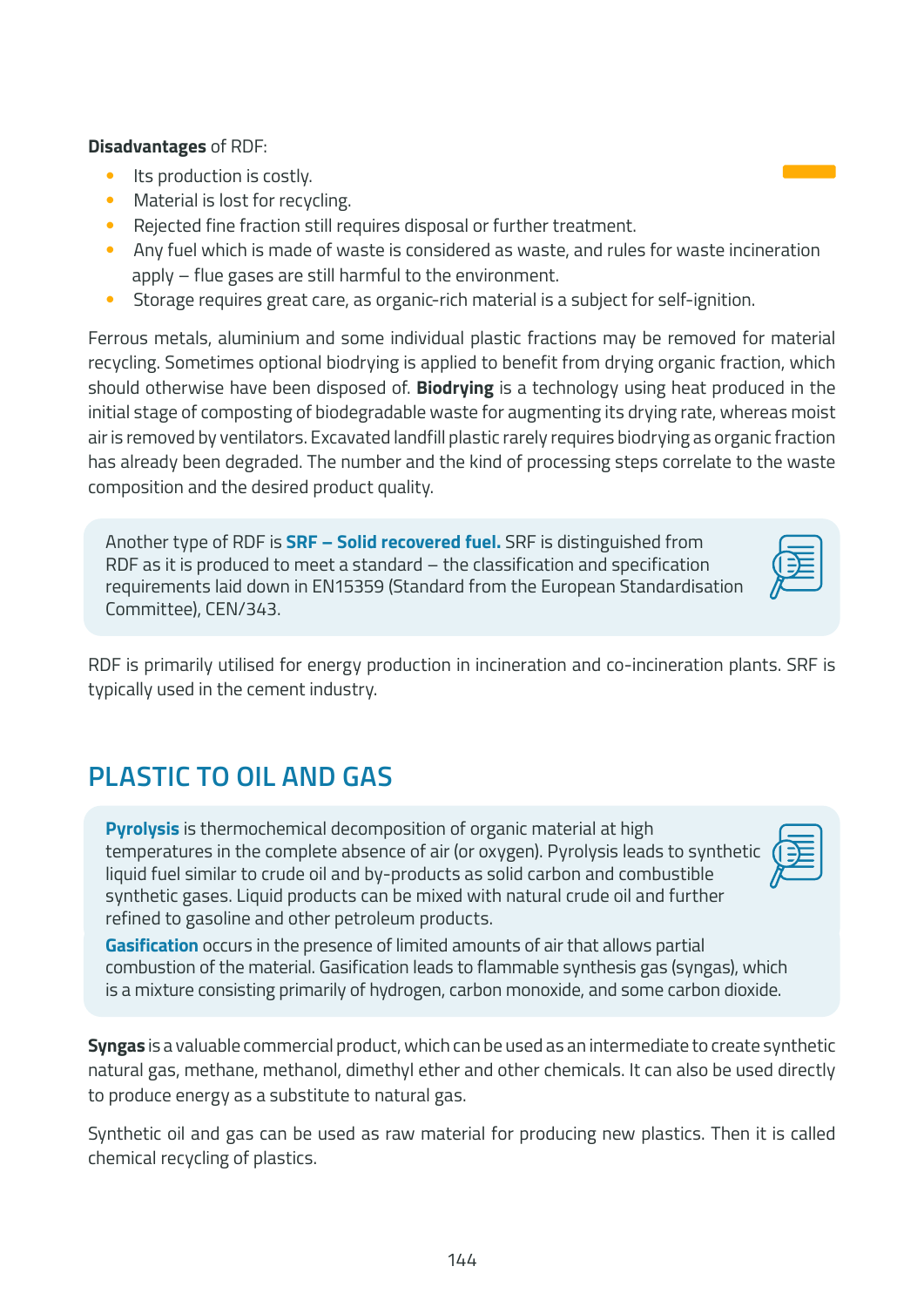#### **Disadvantages** of RDF:

- Its production is costly.
- Material is lost for recycling.
- Rejected fine fraction still requires disposal or further treatment.
- Any fuel which is made of waste is considered as waste, and rules for waste incineration apply – flue gases are still harmful to the environment.
- Storage requires great care, as organic-rich material is a subject for self-ignition.

Ferrous metals, aluminium and some individual plastic fractions may be removed for material recycling. Sometimes optional biodrying is applied to benefit from drying organic fraction, which should otherwise have been disposed of. **Biodrying** is a technology using heat produced in the initial stage of composting of biodegradable waste for augmenting its drying rate, whereas moist air is removed by ventilators. Excavated landfill plastic rarely requires biodrying as organic fraction has already been degraded. The number and the kind of processing steps correlate to the waste composition and the desired product quality.

Another type of RDF is **SRF – Solid recovered fuel.** SRF is distinguished from RDF as it is produced to meet a standard – the classification and specification requirements laid down in EN15359 (Standard from the European Standardisation Committee), CEN/343.

RDF is primarily utilised for energy production in incineration and co-incineration plants. SRF is typically used in the cement industry.

### **PLASTIC TO OIL AND GAS**

**Pyrolysis** is thermochemical decomposition of organic material at high temperatures in the complete absence of air (or oxygen). Pyrolysis leads to synthetic liquid fuel similar to crude oil and by-products as solid carbon and combustible synthetic gases. Liquid products can be mixed with natural crude oil and further refined to gasoline and other petroleum products.

**Gasification** occurs in the presence of limited amounts of air that allows partial combustion of the material. Gasification leads to flammable synthesis gas (syngas), which is a mixture consisting primarily of hydrogen, carbon monoxide, and some carbon dioxide.

**Syngas** is a valuable commercial product, which can be used as an intermediate to create synthetic natural gas, methane, methanol, dimethyl ether and other chemicals. It can also be used directly to produce energy as a substitute to natural gas.

Synthetic oil and gas can be used as raw material for producing new plastics. Then it is called chemical recycling of plastics.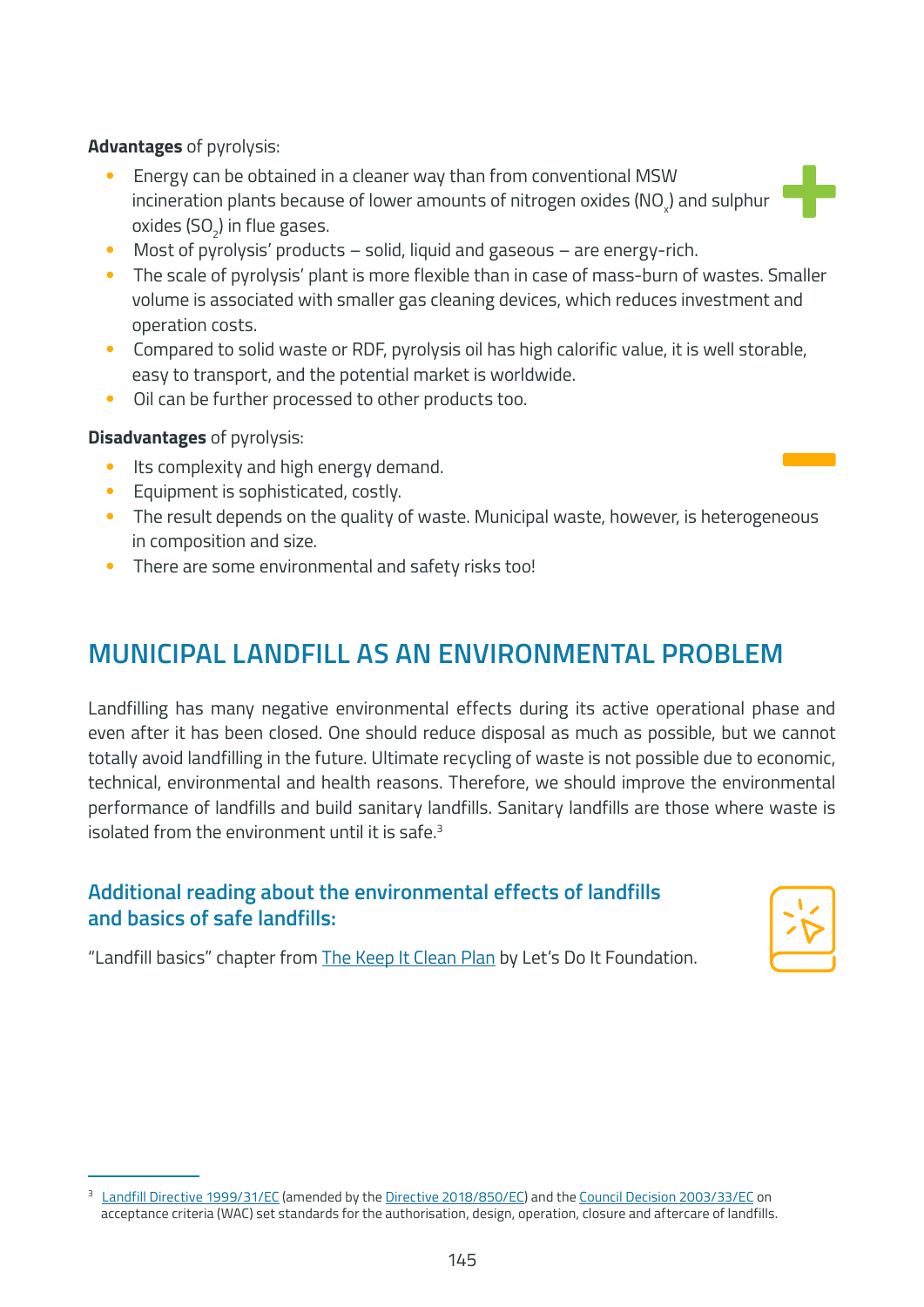**Advantages** of pyrolysis:

- Energy can be obtained in a cleaner way than from conventional MSW incineration plants because of lower amounts of nitrogen oxides (NO $_{\mathrm{\mathsf{\mathsf{x}}}}$ ) and sulphur oxides (SO $_{2}$ ) in flue gases.
- Most of pyrolysis' products solid, liquid and gaseous are energy-rich.
- The scale of pyrolysis' plant is more flexible than in case of mass-burn of wastes. Smaller volume is associated with smaller gas cleaning devices, which reduces investment and operation costs.
- Compared to solid waste or RDF, pyrolysis oil has high calorific value, it is well storable, easy to transport, and the potential market is worldwide.
- Oil can be further processed to other products too.

#### **Disadvantages** of pyrolysis:

- Its complexity and high energy demand.
- Equipment is sophisticated, costly.
- The result depends on the quality of waste. Municipal waste, however, is heterogeneous in composition and size.
- There are some environmental and safety risks too!

### **MUNICIPAL LANDFILL AS AN ENVIRONMENTAL PROBLEM**

Landfilling has many negative environmental effects during its active operational phase and even after it has been closed. One should reduce disposal as much as possible, but we cannot totally avoid landfilling in the future. Ultimate recycling of waste is not possible due to economic, technical, environmental and health reasons. Therefore, we should improve the environmental performance of landfills and build sanitary landfills. Sanitary landfills are those where waste is isolated from the environment until it is safe. $3$ 

### **Additional reading about the environmental effects of landfills and basics of safe landfills:**

"Landfill basics" chapter from [The Keep It Clean Plan](https://letsdoitfoundation.org/wp-content/uploads/2021/02/Keep-It-Clean-Plan2020_LDIF.pdf) by Let's Do It Foundation.

<sup>&</sup>lt;sup>3</sup> [Landfill Directive 1999/31/EC](https://eur-lex.europa.eu/legal-content/EN/TXT/?uri=celex%3A31999L0031) (amended by the [Directive 2018/850/EC\)](https://eur-lex.europa.eu/legal-content/EN/TXT/?uri=CELEX%3A32018L0850) and the [Council Decision 2003/33/EC](https://eur-lex.europa.eu/legal-content/EN/ALL/?uri=celex:32003D0033) on acceptance criteria (WAC) set standards for the authorisation, design, operation, closure and aftercare of landfills.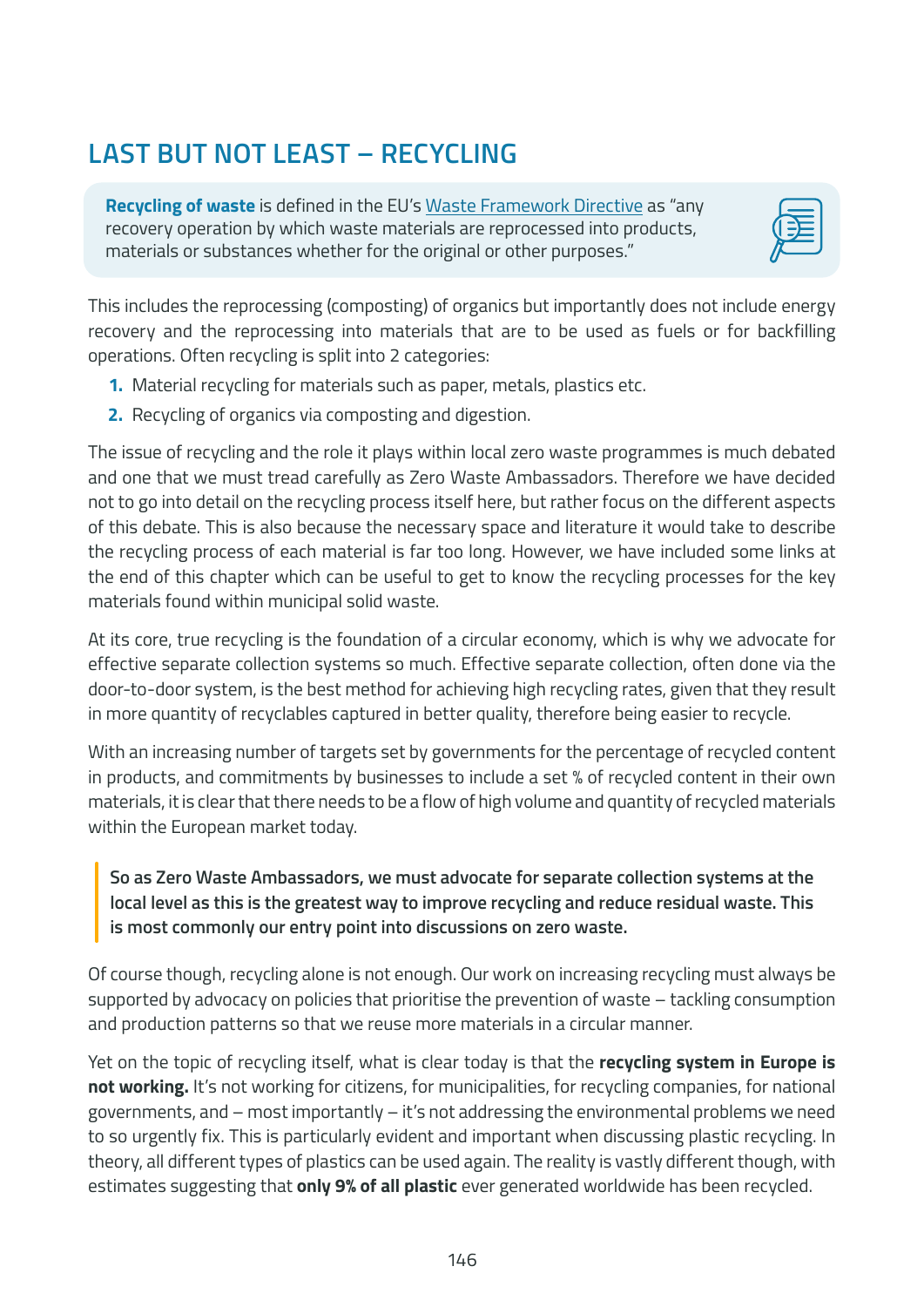## **LAST BUT NOT LEAST – RECYCLING**

**Recycling of waste** is defined in the EU's [Waste Framework Directive](http://eur-lex.europa.eu/LexUriServ/LexUriServ.do?uri=CELEX:32008L0098:EN:NOT) as "any recovery operation by which waste materials are reprocessed into products, materials or substances whether for the original or other purposes."



This includes the reprocessing (composting) of organics but importantly does not include energy recovery and the reprocessing into materials that are to be used as fuels or for backfilling operations. Often recycling is split into 2 categories:

- **1.** Material recycling for materials such as paper, metals, plastics etc.
- **2.** Recycling of organics via composting and digestion.

The issue of recycling and the role it plays within local zero waste programmes is much debated and one that we must tread carefully as Zero Waste Ambassadors. Therefore we have decided not to go into detail on the recycling process itself here, but rather focus on the different aspects of this debate. This is also because the necessary space and literature it would take to describe the recycling process of each material is far too long. However, we have included some links at the end of this chapter which can be useful to get to know the recycling processes for the key materials found within municipal solid waste.

At its core, true recycling is the foundation of a circular economy, which is why we advocate for effective separate collection systems so much. Effective separate collection, often done via the door-to-door system, is the best method for achieving high recycling rates, given that they result in more quantity of recyclables captured in better quality, therefore being easier to recycle.

With an increasing number of targets set by governments for the percentage of recycled content in products, and commitments by businesses to include a set % of recycled content in their own materials, it is clear that there needs to be a flow of high volume and quantity of recycled materials within the European market today.

#### **So as Zero Waste Ambassadors, we must advocate for separate collection systems at the local level as this is the greatest way to improve recycling and reduce residual waste. This is most commonly our entry point into discussions on zero waste.**

Of course though, recycling alone is not enough. Our work on increasing recycling must always be supported by advocacy on policies that prioritise the prevention of waste – tackling consumption and production patterns so that we reuse more materials in a circular manner.

Yet on the topic of recycling itself, what is clear today is that the **recycling system in Europe is not working.** It's not working for citizens, for municipalities, for recycling companies, for national governments, and – most importantly – it's not addressing the environmental problems we need to so urgently fix. This is particularly evident and important when discussing plastic recycling. In theory, all different types of plastics can be used again. The reality is vastly different though, with estimates suggesting that **only 9% of all plastic** ever generated worldwide has been recycled.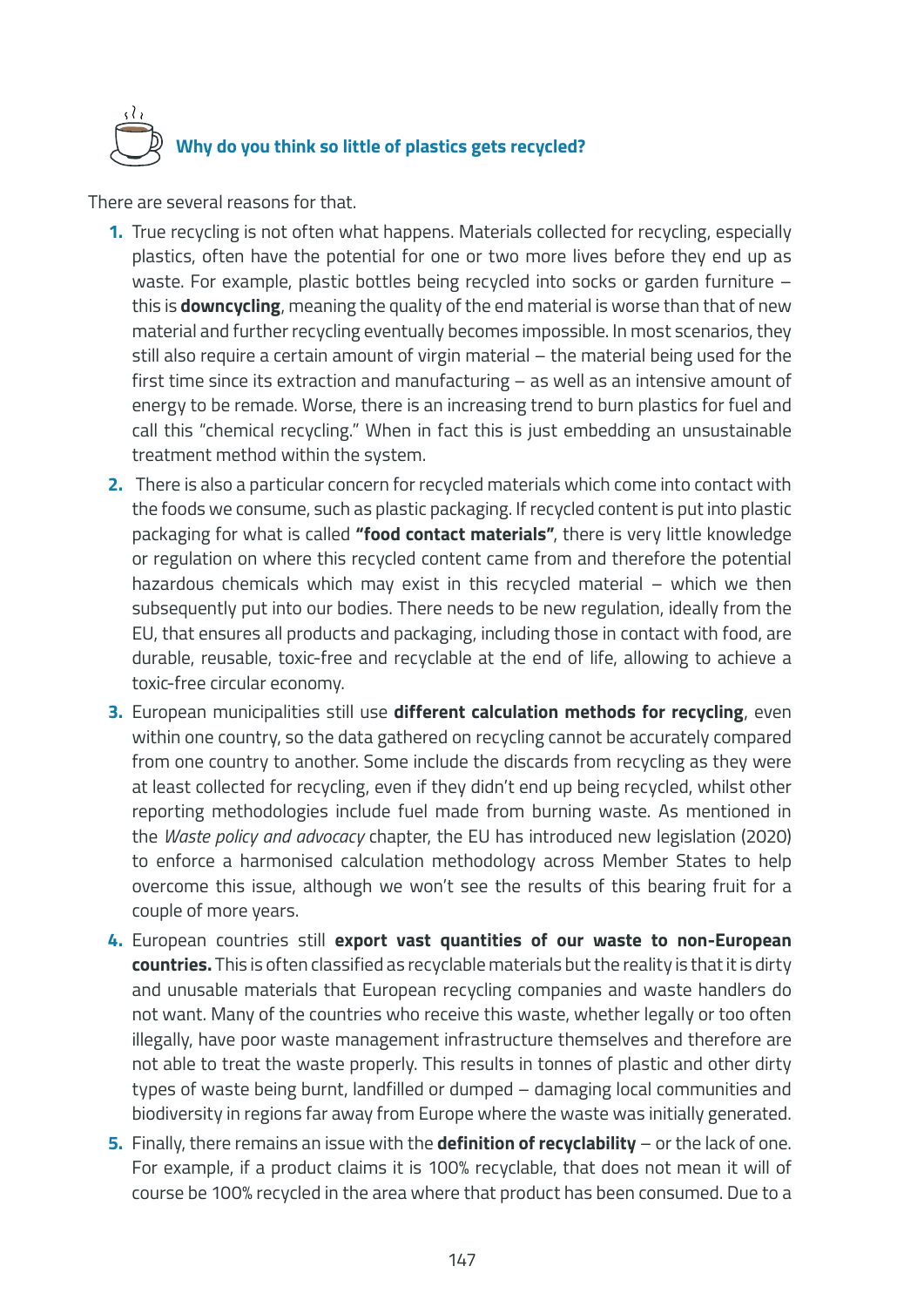# **Why do you think so little of plastics gets recycled?**

There are several reasons for that.

- **1.** True recycling is not often what happens. Materials collected for recycling, especially plastics, often have the potential for one or two more lives before they end up as waste. For example, plastic bottles being recycled into socks or garden furniture – this is **downcycling**, meaning the quality of the end material is worse than that of new material and further recycling eventually becomes impossible. In most scenarios, they still also require a certain amount of virgin material – the material being used for the first time since its extraction and manufacturing – as well as an intensive amount of energy to be remade. Worse, there is an increasing trend to burn plastics for fuel and call this "chemical recycling." When in fact this is just embedding an unsustainable treatment method within the system.
- **2.** There is also a particular concern for recycled materials which come into contact with the foods we consume, such as plastic packaging. If recycled content is put into plastic packaging for what is called **"food contact materials"**, there is very little knowledge or regulation on where this recycled content came from and therefore the potential hazardous chemicals which may exist in this recycled material – which we then subsequently put into our bodies. There needs to be new regulation, ideally from the EU, that ensures all products and packaging, including those in contact with food, are durable, reusable, toxic-free and recyclable at the end of life, allowing to achieve a toxic-free circular economy.
- **3.** European municipalities still use **different calculation methods for recycling**, even within one country, so the data gathered on recycling cannot be accurately compared from one country to another. Some include the discards from recycling as they were at least collected for recycling, even if they didn't end up being recycled, whilst other reporting methodologies include fuel made from burning waste. As mentioned in the *Waste policy and advocacy* chapter, the EU has introduced new legislation (2020) to enforce a harmonised calculation methodology across Member States to help overcome this issue, although we won't see the results of this bearing fruit for a couple of more years.
- **4.** European countries still **export vast quantities of our waste to non-European countries.** This is often classified as recyclable materials but the reality is that it is dirty and unusable materials that European recycling companies and waste handlers do not want. Many of the countries who receive this waste, whether legally or too often illegally, have poor waste management infrastructure themselves and therefore are not able to treat the waste properly. This results in tonnes of plastic and other dirty types of waste being burnt, landfilled or dumped – damaging local communities and biodiversity in regions far away from Europe where the waste was initially generated.
- **5.** Finally, there remains an issue with the **definition of recyclability** or the lack of one. For example, if a product claims it is 100% recyclable, that does not mean it will of course be 100% recycled in the area where that product has been consumed. Due to a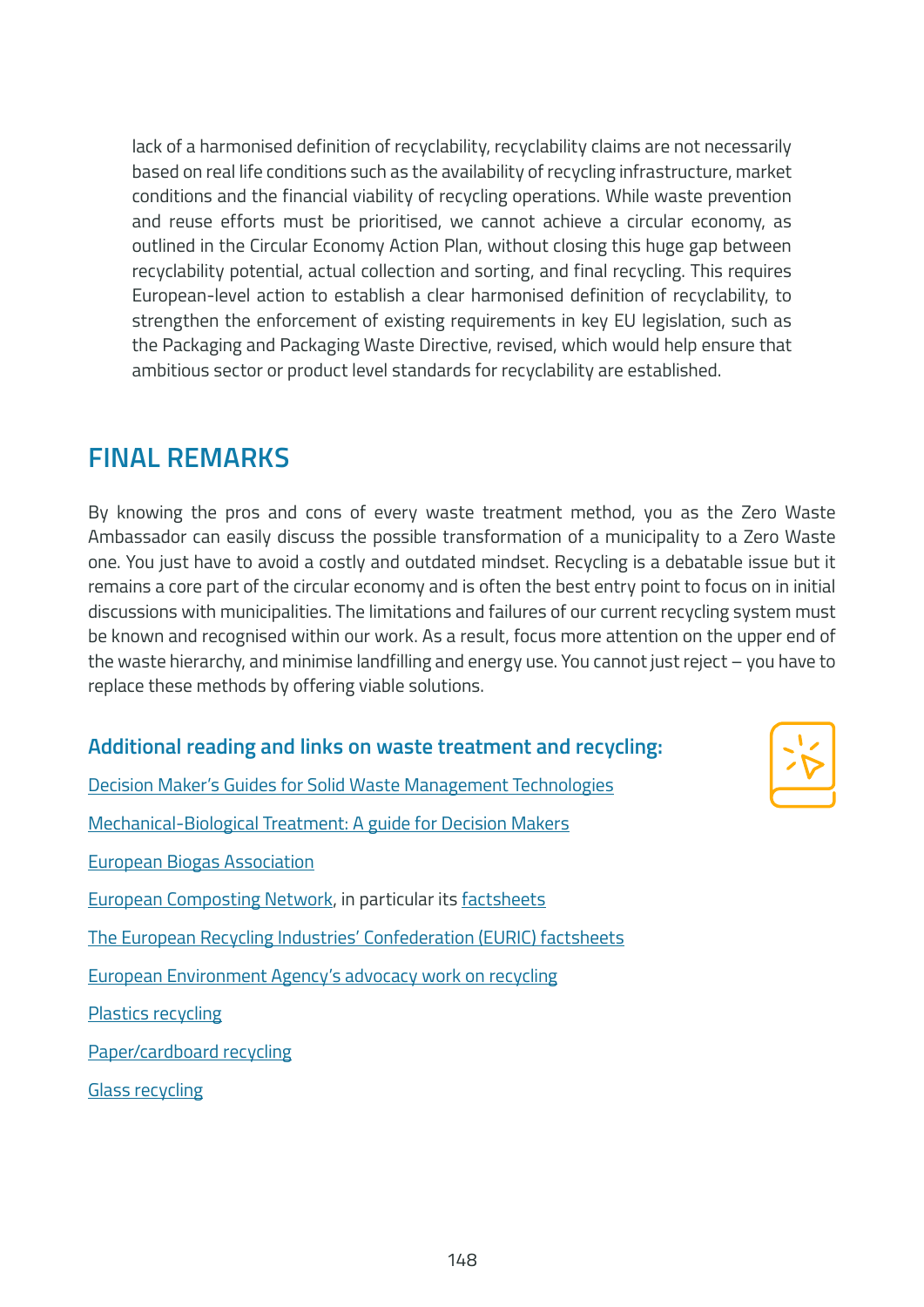lack of a harmonised definition of recyclability, recyclability claims are not necessarily based on real life conditions such as the availability of recycling infrastructure, market conditions and the financial viability of recycling operations. While waste prevention and reuse efforts must be prioritised, we cannot achieve a circular economy, as outlined in the Circular Economy Action Plan, without closing this huge gap between recyclability potential, actual collection and sorting, and final recycling. This requires European-level action to establish a clear harmonised definition of recyclability, to strengthen the enforcement of existing requirements in key EU legislation, such as the [Packaging and Packaging Waste Directive,](https://ec.europa.eu/environment/topics/waste-and-recycling/packaging-waste_en) revised, which would help ensure that ambitious sector or product level standards for recyclability are established.

### **FINAL REMARKS**

By knowing the pros and cons of every waste treatment method, you as the Zero Waste Ambassador can easily discuss the possible transformation of a municipality to a Zero Waste one. You just have to avoid a costly and outdated mindset. Recycling is a debatable issue but it remains a core part of the circular economy and is often the best entry point to focus on in initial discussions with municipalities. The limitations and failures of our current recycling system must be known and recognised within our work. As a result, focus more attention on the upper end of the waste hierarchy, and minimise landfilling and energy use. You cannot just reject – you have to replace these methods by offering viable solutions.

### **Additional reading and links on waste treatment and recycling:**

[Decision Maker's Guides for Solid Waste Management Technologies](https://openknowledge.worldbank.org/handle/10986/31694) [Mechanical-Biological Treatment: A guide for Decision Makers](https://www.cti2000.it/Bionett/BioG-2005-003%20MBT_Summary_Report_Final.pdf) [European Biogas Association](https://www.europeanbiogas.eu/) [European Composting Network,](https://www.compostnetwork.info/) in particular its [factsheets](https://www.compostnetwork.info/downloads/factsheets/) [The European Recycling Industries' Confederation \(EURIC\) factsheets](https://www.euric-aisbl.eu/facts-figures/euric-brochures) [European Environment Agency's advocacy work on recycling](https://www.eea.europa.eu/ims/waste-recycling-in-europe) [Plastics recycling](https://www.plasticsrecyclers.eu/plastic-recycling) [Paper/cardboard recycling](http://paperforrecycling.eu) [Glass recycling](https://closetheglassloop.eu/)